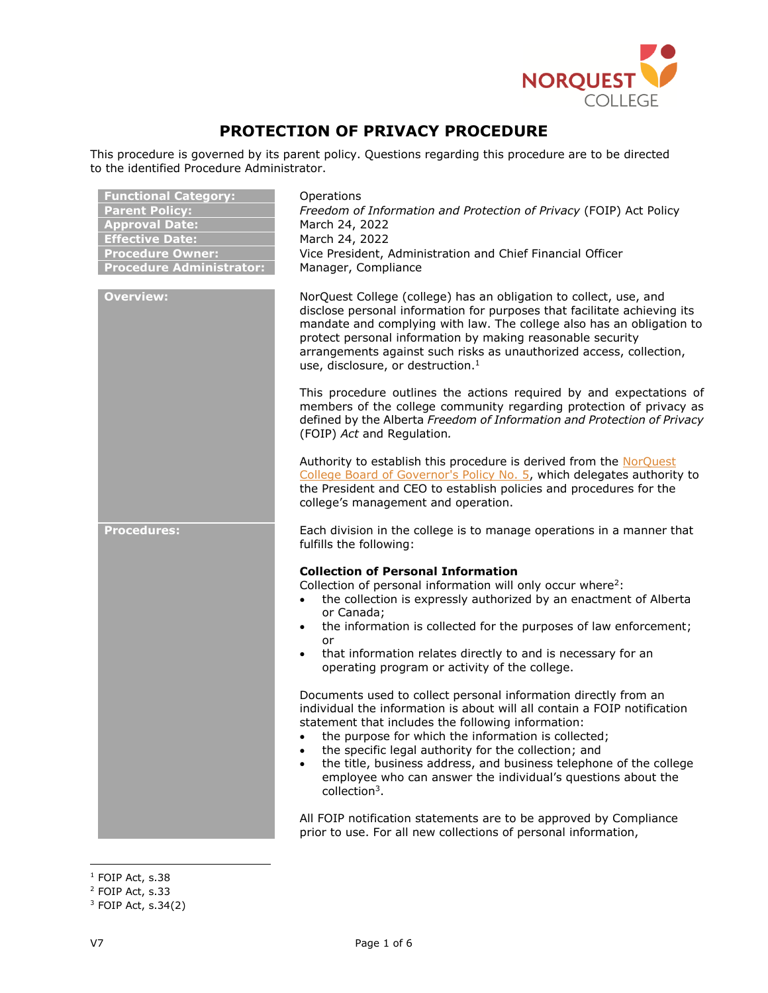

# **PROTECTION OF PRIVACY PROCEDURE**

This procedure is governed by its parent policy. Questions regarding this procedure are to be directed to the identified Procedure Administrator.

| <b>Functional Category:</b><br><b>Parent Policy:</b><br><b>Approval Date:</b><br><b>Effective Date:</b><br><b>Procedure Owner:</b><br><b>Procedure Administrator:</b> | Operations<br>Freedom of Information and Protection of Privacy (FOIP) Act Policy<br>March 24, 2022<br>March 24, 2022<br>Vice President, Administration and Chief Financial Officer<br>Manager, Compliance                                                                                                                                                                                                                                                                  |
|-----------------------------------------------------------------------------------------------------------------------------------------------------------------------|----------------------------------------------------------------------------------------------------------------------------------------------------------------------------------------------------------------------------------------------------------------------------------------------------------------------------------------------------------------------------------------------------------------------------------------------------------------------------|
| <b>Overview:</b>                                                                                                                                                      | NorQuest College (college) has an obligation to collect, use, and<br>disclose personal information for purposes that facilitate achieving its<br>mandate and complying with law. The college also has an obligation to<br>protect personal information by making reasonable security<br>arrangements against such risks as unauthorized access, collection,<br>use, disclosure, or destruction. <sup>1</sup>                                                               |
|                                                                                                                                                                       | This procedure outlines the actions required by and expectations of<br>members of the college community regarding protection of privacy as<br>defined by the Alberta Freedom of Information and Protection of Privacy<br>(FOIP) Act and Regulation.                                                                                                                                                                                                                        |
|                                                                                                                                                                       | Authority to establish this procedure is derived from the NorQuest<br>College Board of Governor's Policy No. 5, which delegates authority to<br>the President and CEO to establish policies and procedures for the<br>college's management and operation.                                                                                                                                                                                                                  |
| <b>Procedures:</b>                                                                                                                                                    | Each division in the college is to manage operations in a manner that<br>fulfills the following:                                                                                                                                                                                                                                                                                                                                                                           |
|                                                                                                                                                                       | <b>Collection of Personal Information</b><br>Collection of personal information will only occur where <sup>2</sup> :<br>the collection is expressly authorized by an enactment of Alberta<br>or Canada;<br>the information is collected for the purposes of law enforcement;<br>$\bullet$<br>or<br>that information relates directly to and is necessary for an<br>$\bullet$<br>operating program or activity of the college.                                              |
|                                                                                                                                                                       | Documents used to collect personal information directly from an<br>individual the information is about will all contain a FOIP notification<br>statement that includes the following information:<br>the purpose for which the information is collected;<br>the specific legal authority for the collection; and<br>the title, business address, and business telephone of the college<br>employee who can answer the individual's questions about the<br>collection $3$ . |
|                                                                                                                                                                       | All FOIP notification statements are to be approved by Compliance<br>prior to use. For all new collections of personal information,                                                                                                                                                                                                                                                                                                                                        |

 $\overline{a}$  $^1$  FOIP Act, s.38

<sup>2</sup> FOIP Act, s.33

 $3$  FOIP Act, s.34(2)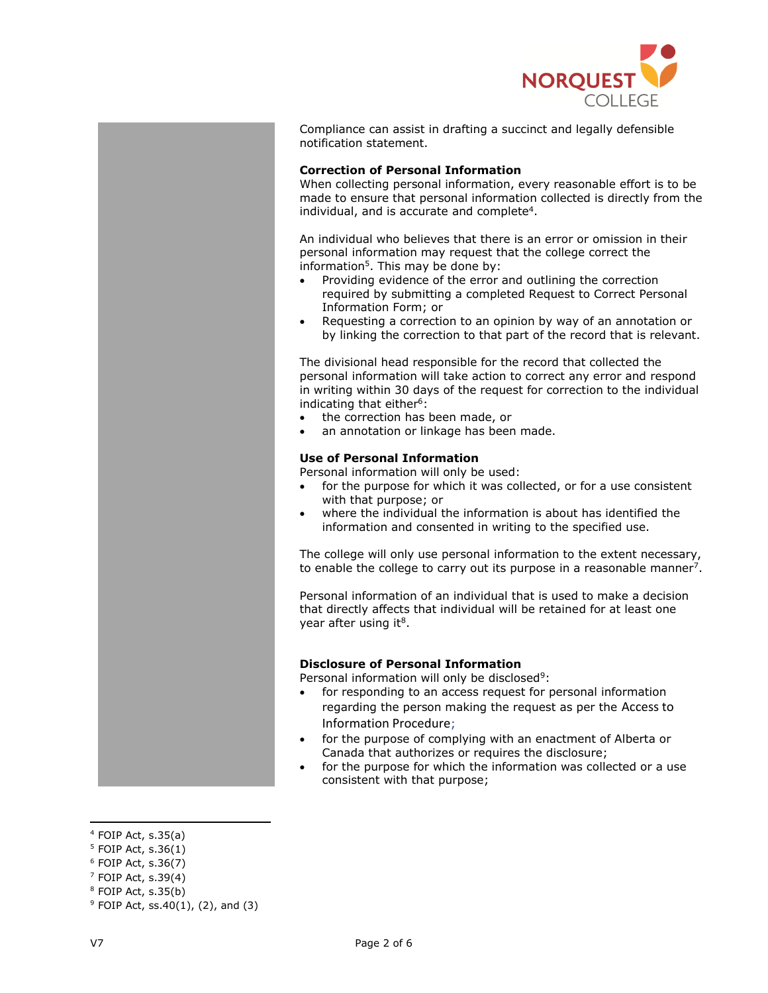

Compliance can assist in drafting a succinct and legally defensible notification statement.

## **Correction of Personal Information**

When collecting personal information, every reasonable effort is to be made to ensure that personal information collected is directly from the individual, and is accurate and complete<sup>4</sup>.

An individual who believes that there is an error or omission in their personal information may request that the college correct the information<sup>5</sup>. This may be done by:

- Providing evidence of the error and outlining the correction required by submitting a completed Request to Correct Personal Information Form; or
- Requesting a correction to an opinion by way of an annotation or by linking the correction to that part of the record that is relevant.

The divisional head responsible for the record that collected the personal information will take action to correct any error and respond in writing within 30 days of the request for correction to the individual indicating that either $6$ :

- the correction has been made, or
- an annotation or linkage has been made.

# **Use of Personal Information**

Personal information will only be used:

- for the purpose for which it was collected, or for a use consistent with that purpose; or
- where the individual the information is about has identified the information and consented in writing to the specified use.

The college will only use personal information to the extent necessary, to enable the college to carry out its purpose in a reasonable manner<sup>7</sup>.

Personal information of an individual that is used to make a decision that directly affects that individual will be retained for at least one year after using it<sup>8</sup>.

# **Disclosure of Personal Information**

Personal information will only be disclosed<sup>9</sup>:

- for responding to an access request for personal information regarding the person making the request as per the Access to Information Procedure;
- for the purpose of complying with an enactment of Alberta or Canada that authorizes or requires the disclosure;
- for the purpose for which the information was collected or a use consistent with that purpose;

 $\overline{\phantom{a}}$ 

 $4$  FOIP Act, s.35(a)

<sup>5</sup> FOIP Act, s.36(1)

<sup>6</sup> FOIP Act, s.36(7)

 $7$  FOIP Act, s.39(4)

 $8$  FOIP Act, s.35(b)

 $9$  FOIP Act, ss.40(1), (2), and (3)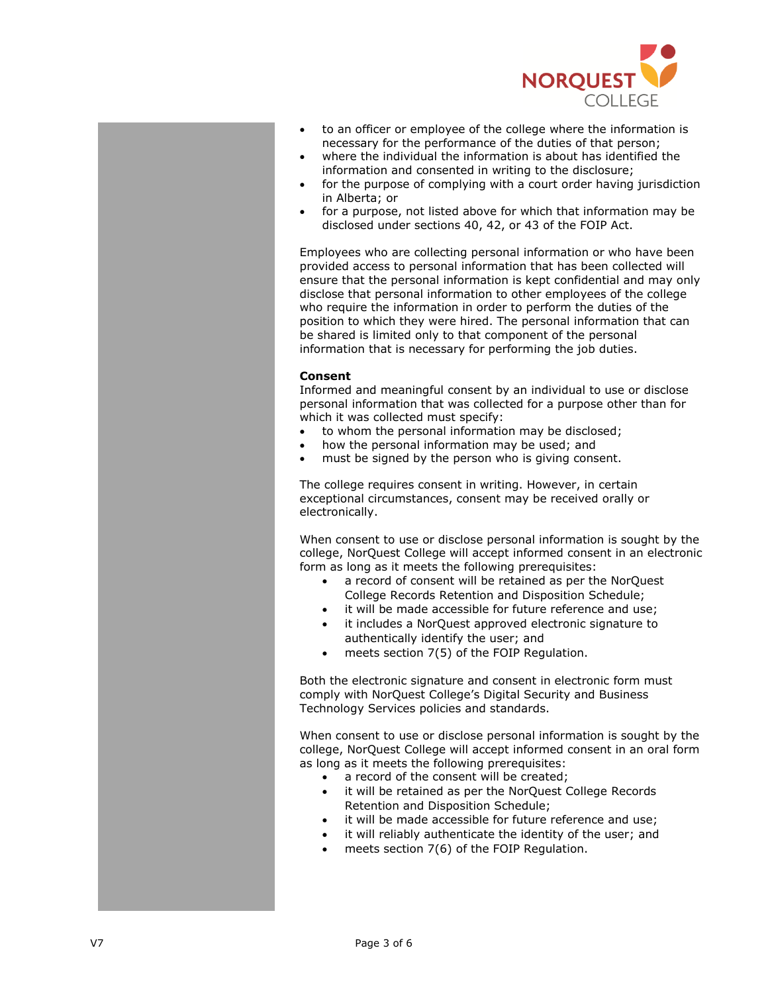

- to an officer or employee of the college where the information is necessary for the performance of the duties of that person;
- where the individual the information is about has identified the information and consented in writing to the disclosure;
- for the purpose of complying with a court order having jurisdiction in Alberta; or
- for a purpose, not listed above for which that information may be disclosed under sections 40, 42, or 43 of the FOIP Act.

Employees who are collecting personal information or who have been provided access to personal information that has been collected will ensure that the personal information is kept confidential and may only disclose that personal information to other employees of the college who require the information in order to perform the duties of the position to which they were hired. The personal information that can be shared is limited only to that component of the personal information that is necessary for performing the job duties.

## **Consent**

Informed and meaningful consent by an individual to use or disclose personal information that was collected for a purpose other than for which it was collected must specify:

- to whom the personal information may be disclosed;
- how the personal information may be used; and
- must be signed by the person who is giving consent.

The college requires consent in writing. However, in certain exceptional circumstances, consent may be received orally or electronically.

When consent to use or disclose personal information is sought by the college, NorQuest College will accept informed consent in an electronic form as long as it meets the following prerequisites:

- a record of consent will be retained as per the NorQuest College Records Retention and Disposition Schedule;
- it will be made accessible for future reference and use;
- it includes a NorQuest approved electronic signature to authentically identify the user; and
- meets section 7(5) of the FOIP Regulation.

Both the electronic signature and consent in electronic form must comply with NorQuest College's Digital Security and Business Technology Services policies and standards.

When consent to use or disclose personal information is sought by the college, NorQuest College will accept informed consent in an oral form as long as it meets the following prerequisites:

- a record of the consent will be created;
- it will be retained as per the NorQuest College Records Retention and Disposition Schedule;
- it will be made accessible for future reference and use;
- it will reliably authenticate the identity of the user; and
- meets section 7(6) of the FOIP Regulation.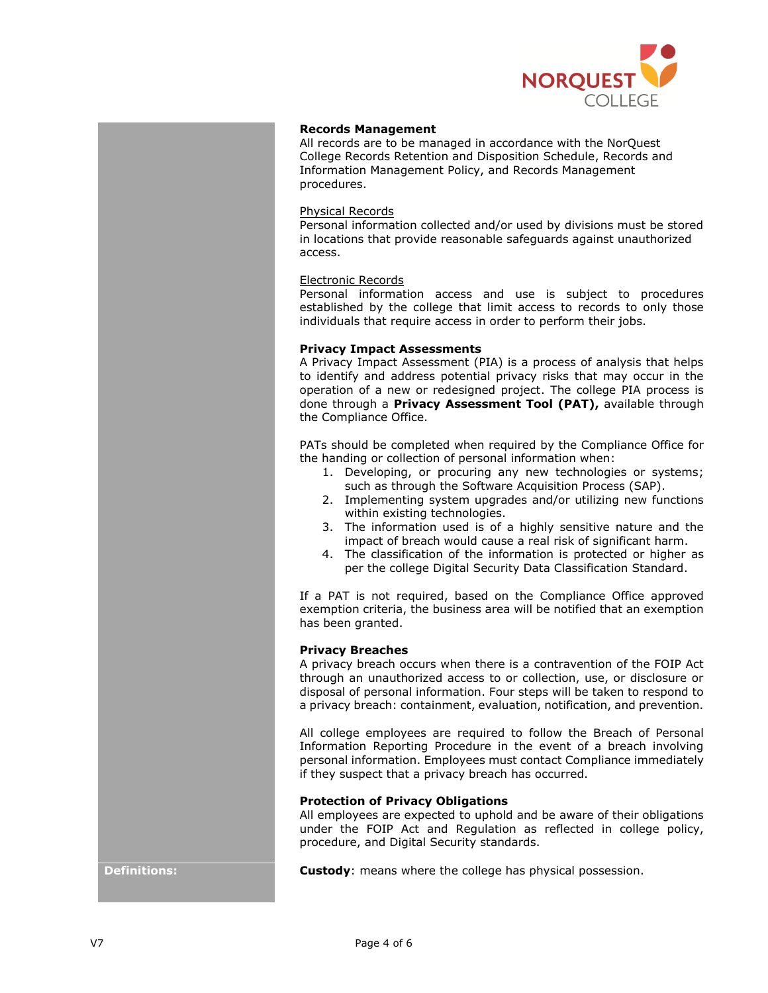

## **Records Management**

All records are to be managed in accordance with the NorQuest College Records Retention and Disposition Schedule, Records and Information Management Policy, and Records Management procedures.

#### Physical Records

Personal information collected and/or used by divisions must be stored in locations that provide reasonable safeguards against unauthorized access.

#### Electronic Records

Personal information access and use is subject to procedures established by the college that limit access to records to only those individuals that require access in order to perform their jobs.

#### **Privacy Impact Assessments**

A Privacy Impact Assessment (PIA) is a process of analysis that helps to identify and address potential privacy risks that may occur in the operation of a new or redesigned project. The college PIA process is done through a **Privacy Assessment Tool (PAT),** available through the Compliance Office.

PATs should be completed when required by the Compliance Office for the handing or collection of personal information when:

- 1. Developing, or procuring any new technologies or systems; such as through the Software Acquisition Process (SAP).
- 2. Implementing system upgrades and/or utilizing new functions within existing technologies.
- 3. The information used is of a highly sensitive nature and the impact of breach would cause a real risk of significant harm.
- 4. The classification of the information is protected or higher as per the college Digital Security Data Classification Standard.

If a PAT is not required, based on the Compliance Office approved exemption criteria, the business area will be notified that an exemption has been granted.

## **Privacy Breaches**

A privacy breach occurs when there is a contravention of the FOIP Act through an unauthorized access to or collection, use, or disclosure or disposal of personal information. Four steps will be taken to respond to a privacy breach: containment, evaluation, notification, and prevention.

All college employees are required to follow the Breach of Personal Information Reporting Procedure in the event of a breach involving personal information. Employees must contact Compliance immediately if they suspect that a privacy breach has occurred.

# **Protection of Privacy Obligations**

All employees are expected to uphold and be aware of their obligations under the FOIP Act and Regulation as reflected in college policy, procedure, and Digital Security standards.

**Definitions: Custody:** means where the college has physical possession.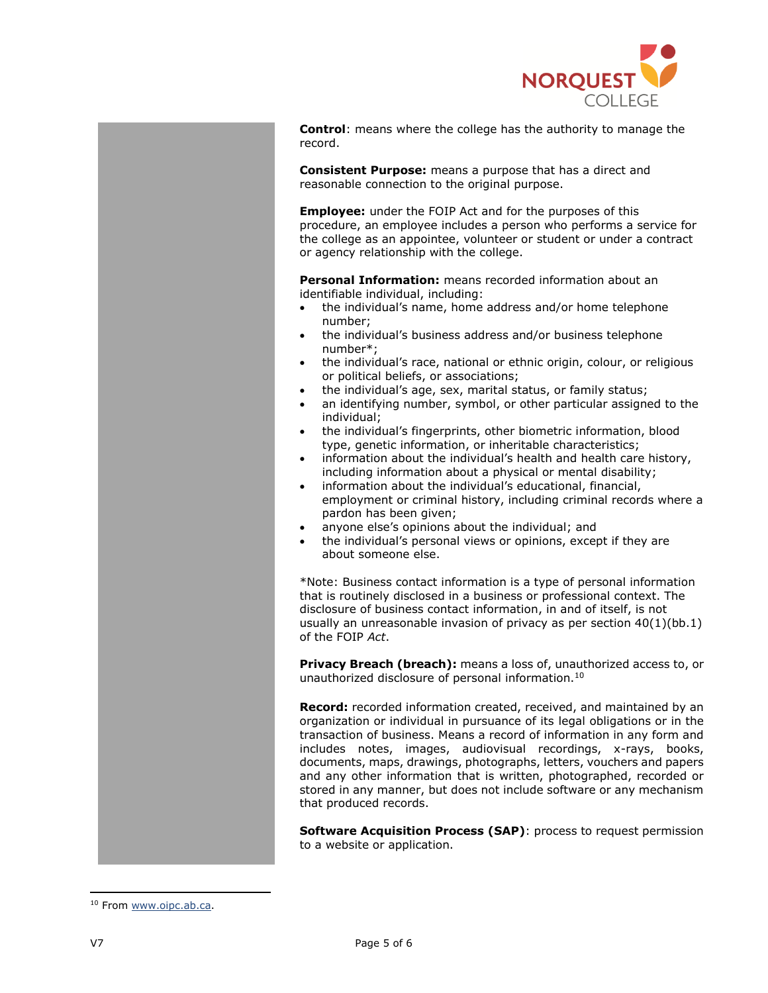

**Control**: means where the college has the authority to manage the record.

**Consistent Purpose:** means a purpose that has a direct and reasonable connection to the original purpose.

**Employee:** under the FOIP Act and for the purposes of this procedure, an employee includes a person who performs a service for the college as an appointee, volunteer or student or under a contract or agency relationship with the college.

**Personal Information:** means recorded information about an identifiable individual, including:

- the individual's name, home address and/or home telephone number;
- the individual's business address and/or business telephone number\*;
- the individual's race, national or ethnic origin, colour, or religious or political beliefs, or associations;
- the individual's age, sex, marital status, or family status;
- an identifying number, symbol, or other particular assigned to the individual;
- the individual's fingerprints, other biometric information, blood type, genetic information, or inheritable characteristics;
- information about the individual's health and health care history, including information about a physical or mental disability;
- information about the individual's educational, financial, employment or criminal history, including criminal records where a pardon has been given;
- anyone else's opinions about the individual; and
- the individual's personal views or opinions, except if they are about someone else.

\*Note: Business contact information is a type of personal information that is routinely disclosed in a business or professional context. The disclosure of business contact information, in and of itself, is not usually an unreasonable invasion of privacy as per section 40(1)(bb.1) of the FOIP *Act*.

**Privacy Breach (breach):** means a loss of, unauthorized access to, or unauthorized disclosure of personal information.<sup>10</sup>

**Record:** recorded information created, received, and maintained by an organization or individual in pursuance of its legal obligations or in the transaction of business. Means a record of information in any form and includes notes, images, audiovisual recordings, x-rays, books, documents, maps, drawings, photographs, letters, vouchers and papers and any other information that is written, photographed, recorded or stored in any manner, but does not include software or any mechanism that produced records.

**Software Acquisition Process (SAP)**: process to request permission to a website or application.

 $\overline{\phantom{a}}$ 

<sup>&</sup>lt;sup>10</sup> Fro[m www.oipc.ab.ca.](http://www.oipc.ab.ca/)